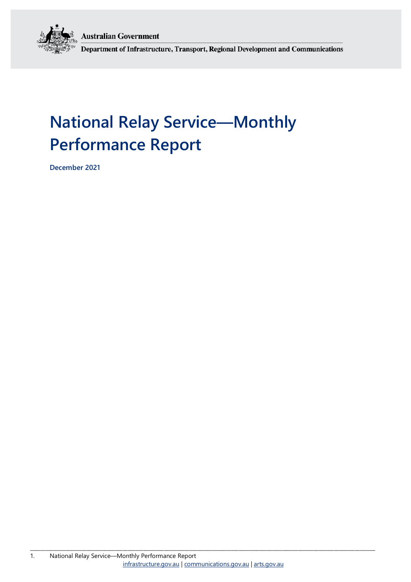**Australian Government** 



Department of Infrastructure, Transport, Regional Development and Communications

# **National Relay Service—Monthly Performance Report**

**December 2021**

\_\_\_\_\_\_\_\_\_\_\_\_\_\_\_\_\_\_\_\_\_\_\_\_\_\_\_\_\_\_\_\_\_\_\_\_\_\_\_\_\_\_\_\_\_\_\_\_\_\_\_\_\_\_\_\_\_\_\_\_\_\_\_\_\_\_\_\_\_\_\_\_\_\_\_\_\_\_\_\_\_\_\_\_\_\_\_\_\_\_\_\_\_\_\_\_\_\_\_\_\_\_\_\_\_\_\_\_\_\_\_\_\_\_\_\_\_\_\_\_\_\_\_\_\_\_\_\_\_\_\_\_\_\_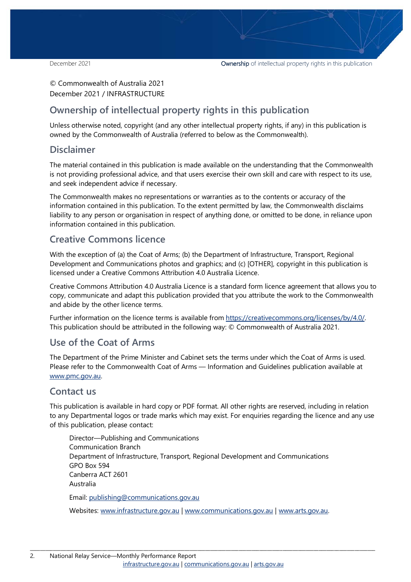### © Commonwealth of Australia 2021 December 2021 / INFRASTRUCTURE

### **Ownership of intellectual property rights in this publication**

Unless otherwise noted, copyright (and any other intellectual property rights, if any) in this publication is owned by the Commonwealth of Australia (referred to below as the Commonwealth).

### **Disclaimer**

The material contained in this publication is made available on the understanding that the Commonwealth is not providing professional advice, and that users exercise their own skill and care with respect to its use, and seek independent advice if necessary.

The Commonwealth makes no representations or warranties as to the contents or accuracy of the information contained in this publication. To the extent permitted by law, the Commonwealth disclaims liability to any person or organisation in respect of anything done, or omitted to be done, in reliance upon information contained in this publication.

### **Creative Commons licence**

With the exception of (a) the Coat of Arms; (b) the Department of Infrastructure, Transport, Regional Development and Communications photos and graphics; and (c) [OTHER], copyright in this publication is licensed under a Creative Commons Attribution 4.0 Australia Licence.

Creative Commons Attribution 4.0 Australia Licence is a standard form licence agreement that allows you to copy, communicate and adapt this publication provided that you attribute the work to the Commonwealth and abide by the other licence terms.

Further information on the licence terms is available from [https://creativecommons.org/licenses/by/4.0/.](https://creativecommons.org/licenses/by/4.0/) This publication should be attributed in the following way: © Commonwealth of Australia 2021.

### **Use of the Coat of Arms**

The Department of the Prime Minister and Cabinet sets the terms under which the Coat of Arms is used. Please refer to the Commonwealth Coat of Arms — Information and Guidelines publication available at [www.pmc.gov.au.](http://www.pmc.gov.au/) 

### **Contact us**

This publication is available in hard copy or PDF format. All other rights are reserved, including in relation to any Departmental logos or trade marks which may exist. For enquiries regarding the licence and any use of this publication, please contact:

Director—Publishing and Communications Communication Branch Department of Infrastructure, Transport, Regional Development and Communications GPO Box 594 Canberra ACT 2601 Australia Email: [publishing@communications.gov.au](mailto:publishing@communications.gov.au)

Websites: [www.infrastructure.gov.au](http://www.infrastructure.gov.au/) [| www.communications.gov.au](http://www.communications.gov.au/) | [www.arts.gov.au.](http://www.arts.gov.au/)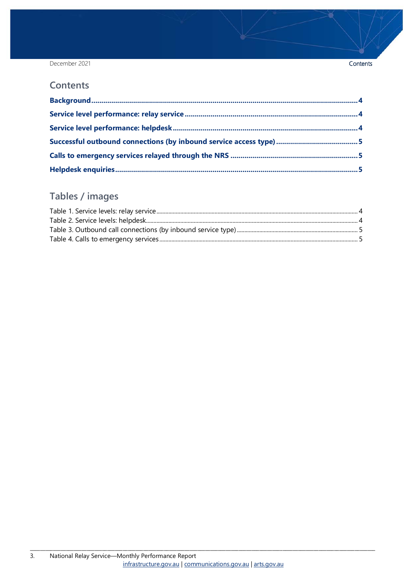December 2021

### **Contents**

## Tables / images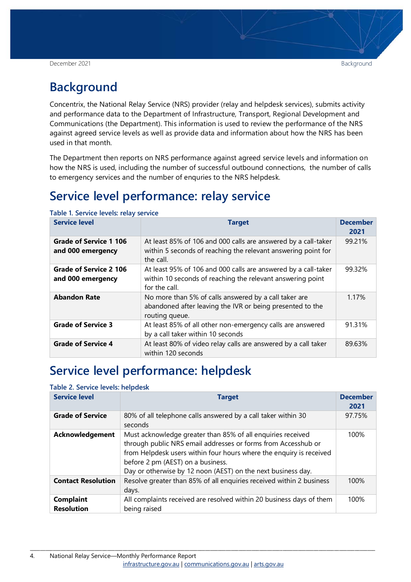#### December 2021 Background in the second second second second second second second second second second second second

## <span id="page-3-0"></span>**Background**

Concentrix, the National Relay Service (NRS) provider (relay and helpdesk services), submits activity and performance data to the Department of Infrastructure, Transport, Regional Development and Communications (the Department). This information is used to review the performance of the NRS against agreed service levels as well as provide data and information about how the NRS has been used in that month.

The Department then reports on NRS performance against agreed service levels and information on how the NRS is used, including the number of successful outbound connections, the number of calls to emergency services and the number of enquries to the NRS helpdesk.

## <span id="page-3-1"></span>**Service level performance: relay service**

| <b>Service level</b>                               | <b>Target</b>                                                                                                                                 | <b>December</b><br>2021 |
|----------------------------------------------------|-----------------------------------------------------------------------------------------------------------------------------------------------|-------------------------|
| Grade of Service 1 106<br>and 000 emergency        | At least 85% of 106 and 000 calls are answered by a call-taker<br>within 5 seconds of reaching the relevant answering point for<br>the call.  | 99.21%                  |
| <b>Grade of Service 2 106</b><br>and 000 emergency | At least 95% of 106 and 000 calls are answered by a call-taker<br>within 10 seconds of reaching the relevant answering point<br>for the call. | 99.32%                  |
| <b>Abandon Rate</b>                                | No more than 5% of calls answered by a call taker are<br>abandoned after leaving the IVR or being presented to the<br>routing queue.          | 1.17%                   |
| <b>Grade of Service 3</b>                          | At least 85% of all other non-emergency calls are answered<br>by a call taker within 10 seconds                                               | 91.31%                  |
| <b>Grade of Service 4</b>                          | At least 80% of video relay calls are answered by a call taker<br>within 120 seconds                                                          | 89.63%                  |

<span id="page-3-3"></span>**Table 1. Service levels: relay service**

## <span id="page-3-2"></span>**Service level performance: helpdesk**

#### <span id="page-3-4"></span>**Table 2. Service levels: helpdesk**

| <b>Service level</b>                  | <b>Target</b>                                                                                                                                                                                                                                                                                            | <b>December</b><br>2021 |
|---------------------------------------|----------------------------------------------------------------------------------------------------------------------------------------------------------------------------------------------------------------------------------------------------------------------------------------------------------|-------------------------|
| <b>Grade of Service</b>               | 80% of all telephone calls answered by a call taker within 30<br>seconds                                                                                                                                                                                                                                 | 97.75%                  |
| <b>Acknowledgement</b>                | Must acknowledge greater than 85% of all enquiries received<br>through public NRS email addresses or forms from Accesshub or<br>from Helpdesk users within four hours where the enquiry is received<br>before 2 pm (AEST) on a business.<br>Day or otherwise by 12 noon (AEST) on the next business day. | 100%                    |
| <b>Contact Resolution</b>             | Resolve greater than 85% of all enquiries received within 2 business<br>days.                                                                                                                                                                                                                            | 100%                    |
| <b>Complaint</b><br><b>Resolution</b> | All complaints received are resolved within 20 business days of them<br>being raised                                                                                                                                                                                                                     | 100%                    |

\_\_\_\_\_\_\_\_\_\_\_\_\_\_\_\_\_\_\_\_\_\_\_\_\_\_\_\_\_\_\_\_\_\_\_\_\_\_\_\_\_\_\_\_\_\_\_\_\_\_\_\_\_\_\_\_\_\_\_\_\_\_\_\_\_\_\_\_\_\_\_\_\_\_\_\_\_\_\_\_\_\_\_\_\_\_\_\_\_\_\_\_\_\_\_\_\_\_\_\_\_\_\_\_\_\_\_\_\_\_\_\_\_\_\_\_\_\_\_\_\_\_\_\_\_\_\_\_\_\_\_\_\_\_